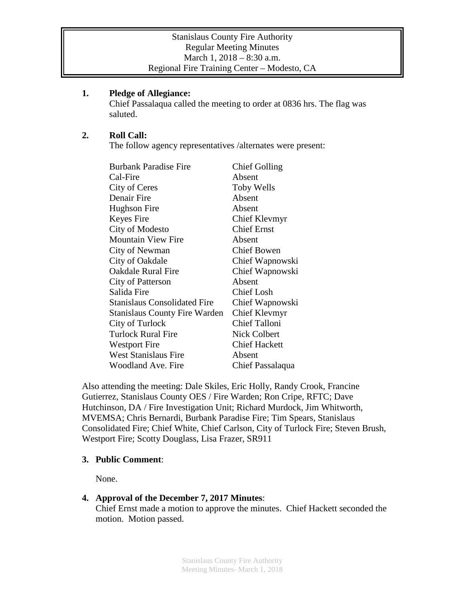### **1. Pledge of Allegiance:**

Chief Passalaqua called the meeting to order at 0836 hrs. The flag was saluted.

# **2. Roll Call:**

The follow agency representatives /alternates were present:

| <b>Burbank Paradise Fire</b>         | <b>Chief Golling</b> |
|--------------------------------------|----------------------|
| Cal-Fire                             | Absent               |
| City of Ceres                        | <b>Toby Wells</b>    |
| Denair Fire                          | Absent               |
| Hughson Fire                         | Absent               |
| Keyes Fire                           | Chief Klevmyr        |
| City of Modesto                      | <b>Chief Ernst</b>   |
| <b>Mountain View Fire</b>            | Absent               |
| City of Newman                       | <b>Chief Bowen</b>   |
| City of Oakdale                      | Chief Wapnowski      |
| <b>Oakdale Rural Fire</b>            | Chief Wapnowski      |
| City of Patterson                    | Absent               |
| Salida Fire                          | <b>Chief Losh</b>    |
| <b>Stanislaus Consolidated Fire</b>  | Chief Wapnowski      |
| <b>Stanislaus County Fire Warden</b> | Chief Klevmyr        |
| City of Turlock                      | <b>Chief Talloni</b> |
| <b>Turlock Rural Fire</b>            | <b>Nick Colbert</b>  |
| <b>Westport Fire</b>                 | <b>Chief Hackett</b> |
| <b>West Stanislaus Fire</b>          | Absent               |
| Woodland Ave. Fire                   | Chief Passalaqua     |

Also attending the meeting: Dale Skiles, Eric Holly, Randy Crook, Francine Gutierrez, Stanislaus County OES / Fire Warden; Ron Cripe, RFTC; Dave Hutchinson, DA / Fire Investigation Unit; Richard Murdock, Jim Whitworth, MVEMSA; Chris Bernardi, Burbank Paradise Fire; Tim Spears, Stanislaus Consolidated Fire; Chief White, Chief Carlson, City of Turlock Fire; Steven Brush, Westport Fire; Scotty Douglass, Lisa Frazer, SR911

# **3. Public Comment**:

None.

# **4. Approval of the December 7, 2017 Minutes**:

Chief Ernst made a motion to approve the minutes. Chief Hackett seconded the motion. Motion passed.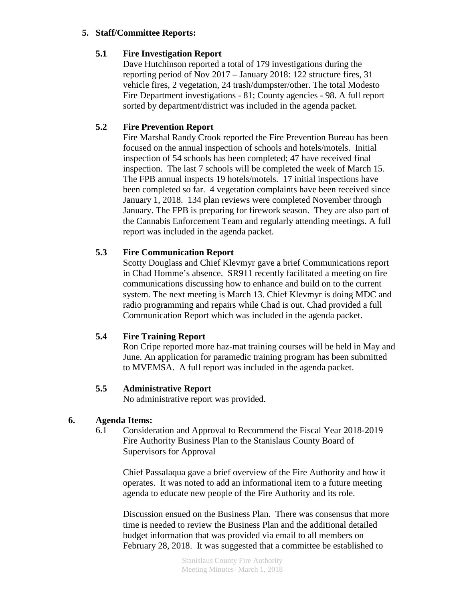#### **5. Staff/Committee Reports:**

#### **5.1 Fire Investigation Report**

Dave Hutchinson reported a total of 179 investigations during the reporting period of Nov 2017 – January 2018: 122 structure fires, 31 vehicle fires, 2 vegetation, 24 trash/dumpster/other. The total Modesto Fire Department investigations - 81; County agencies - 98. A full report sorted by department/district was included in the agenda packet.

# **5.2 Fire Prevention Report**

Fire Marshal Randy Crook reported the Fire Prevention Bureau has been focused on the annual inspection of schools and hotels/motels. Initial inspection of 54 schools has been completed; 47 have received final inspection. The last 7 schools will be completed the week of March 15. The FPB annual inspects 19 hotels/motels. 17 initial inspections have been completed so far. 4 vegetation complaints have been received since January 1, 2018. 134 plan reviews were completed November through January. The FPB is preparing for firework season. They are also part of the Cannabis Enforcement Team and regularly attending meetings. A full report was included in the agenda packet.

# **5.3 Fire Communication Report**

Scotty Douglass and Chief Klevmyr gave a brief Communications report in Chad Homme's absence. SR911 recently facilitated a meeting on fire communications discussing how to enhance and build on to the current system. The next meeting is March 13. Chief Klevmyr is doing MDC and radio programming and repairs while Chad is out. Chad provided a full Communication Report which was included in the agenda packet.

# **5.4 Fire Training Report**

Ron Cripe reported more haz-mat training courses will be held in May and June. An application for paramedic training program has been submitted to MVEMSA. A full report was included in the agenda packet.

#### **5.5 Administrative Report**

No administrative report was provided.

#### **6. Agenda Items:**

6.1 Consideration and Approval to Recommend the Fiscal Year 2018-2019 Fire Authority Business Plan to the Stanislaus County Board of Supervisors for Approval

Chief Passalaqua gave a brief overview of the Fire Authority and how it operates. It was noted to add an informational item to a future meeting agenda to educate new people of the Fire Authority and its role.

Discussion ensued on the Business Plan. There was consensus that more time is needed to review the Business Plan and the additional detailed budget information that was provided via email to all members on February 28, 2018. It was suggested that a committee be established to